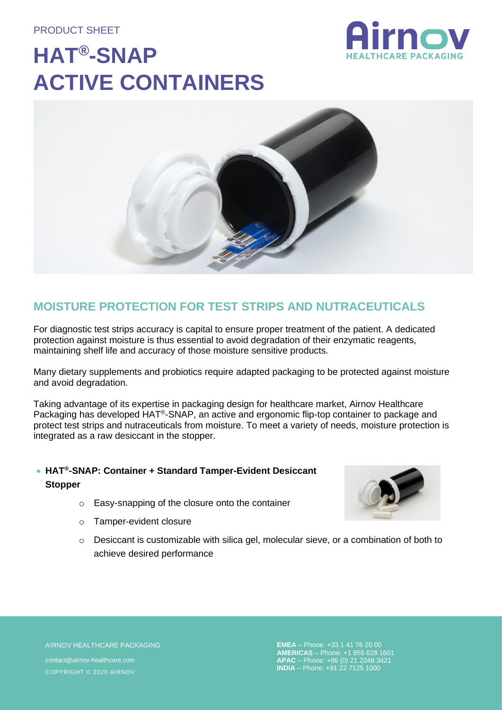### PRODUCT SHEET

# **HAT®-SNAP ACTIVE CONTAINERS**





## **MOISTURE PROTECTION FOR TEST STRIPS AND NUTRACEUTICALS**

For diagnostic test strips accuracy is capital to ensure proper treatment of the patient. A dedicated protection against moisture is thus essential to avoid degradation of their enzymatic reagents, maintaining shelf life and accuracy of those moisture sensitive products.

Many dietary supplements and probiotics require adapted packaging to be protected against moisture and avoid degradation.

Taking advantage of its expertise in packaging design for healthcare market, Airnov Healthcare Packaging has developed HAT®-SNAP, an active and ergonomic flip-top container to package and protect test strips and nutraceuticals from moisture. To meet a variety of needs, moisture protection is integrated as a raw desiccant in the stopper.

## • **HAT® -SNAP: Container + Standard Tamper-Evident Desiccant Stopper**

- o Easy-snapping of the closure onto the container
- o Tamper-evident closure



 $\circ$  Desiccant is customizable with silica gel, molecular sieve, or a combination of both to achieve desired performance

AIRNOV HEALTHCARE PACKAGING COPYRIGHT © 2020 AIRNOV

**EMEA** – Phone: +33 1 41 76 20 00 **AMERICAS** – Phone: +1 855 628 1601 **APAC** – Phone: +86 (0) 21 2248 3421 **INDIA** – Phone: +91 22 7125 1000